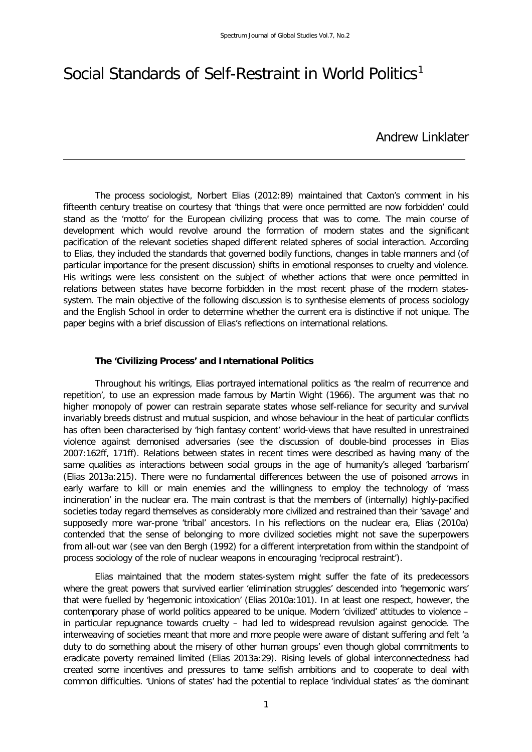# Social Standards of Self-Restraint in World Politics<sup>[1](#page-15-0)</sup>

## Andrew Linklater

The process sociologist, Norbert Elias (2012:89) maintained that Caxton's comment in his fifteenth century treatise on courtesy that 'things that were once permitted are now forbidden' could stand as the 'motto' for the European civilizing process that was to come. The main course of development which would revolve around the formation of modern states and the significant pacification of the relevant societies shaped different related spheres of social interaction. According to Elias, they included the standards that governed bodily functions, changes in table manners and (of particular importance for the present discussion) shifts in emotional responses to cruelty and violence. His writings were less consistent on the subject of whether actions that were once permitted in relations between states have become forbidden in the most recent phase of the modern statessystem. The main objective of the following discussion is to synthesise elements of process sociology and the English School in order to determine whether the current era is distinctive if not unique. The paper begins with a brief discussion of Elias's reflections on international relations.

#### **The 'Civilizing Process' and International Politics**

Throughout his writings, Elias portrayed international politics as 'the realm of recurrence and repetition', to use an expression made famous by Martin Wight (1966). The argument was that no higher monopoly of power can restrain separate states whose self-reliance for security and survival invariably breeds distrust and mutual suspicion, and whose behaviour in the heat of particular conflicts has often been characterised by 'high fantasy content' world-views that have resulted in unrestrained violence against demonised adversaries (see the discussion of double-bind processes in Elias 2007:162ff, 171ff). Relations between states in recent times were described as having many of the same qualities as interactions between social groups in the age of humanity's alleged 'barbarism' (Elias 2013a:215). There were no fundamental differences between the use of poisoned arrows in early warfare to kill or main enemies and the willingness to employ the technology of 'mass incineration' in the nuclear era. The main contrast is that the members of (internally) highly-pacified societies today regard themselves as considerably more civilized and restrained than their 'savage' and supposedly more war-prone 'tribal' ancestors. In his reflections on the nuclear era, Elias (2010a) contended that the sense of belonging to more civilized societies might not save the superpowers from all-out war (see van den Bergh (1992) for a different interpretation from within the standpoint of process sociology of the role of nuclear weapons in encouraging 'reciprocal restraint').

Elias maintained that the modern states-system might suffer the fate of its predecessors where the great powers that survived earlier 'elimination struggles' descended into 'hegemonic wars' that were fuelled by 'hegemonic intoxication' (Elias 2010a:101). In at least one respect, however, the contemporary phase of world politics appeared to be unique. Modern 'civilized' attitudes to violence – in particular repugnance towards cruelty – had led to widespread revulsion against genocide. The interweaving of societies meant that more and more people were aware of distant suffering and felt 'a duty to do something about the misery of other human groups' even though global commitments to eradicate poverty remained limited (Elias 2013a:29). Rising levels of global interconnectedness had created some incentives and pressures to tame selfish ambitions and to cooperate to deal with common difficulties. 'Unions of states' had the potential to replace 'individual states' as 'the dominant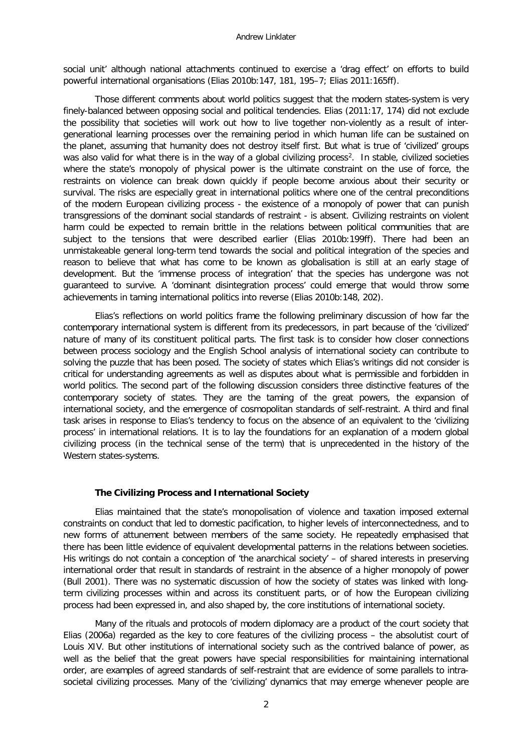#### Andrew Linklater

social unit' although national attachments continued to exercise a 'drag effect' on efforts to build powerful international organisations (Elias 2010b:147, 181, 195–7; Elias 2011:165ff).

Those different comments about world politics suggest that the modern states-system is very finely-balanced between opposing social and political tendencies. Elias (2011:17, 174) did not exclude the possibility that societies will work out how to live together non-violently as a result of intergenerational learning processes over the remaining period in which human life can be sustained on the planet, assuming that humanity does not destroy itself first. But what is true of 'civilized' groups was also valid for what there is in the way of a global civilizing process<sup>2</sup>. In stable, civilized societies where the state's monopoly of physical power is the ultimate constraint on the use of force, the restraints on violence can break down quickly if people become anxious about their security or survival. The risks are especially great in international politics where one of the central preconditions of the modern European civilizing process - the existence of a monopoly of power that can punish transgressions of the dominant social standards of restraint - is absent. Civilizing restraints on violent harm could be expected to remain brittle in the relations between political communities that are subject to the tensions that were described earlier (Elias 2010b:199ff). There had been an unmistakeable general long-term tend towards the social and political integration of the species and reason to believe that what has come to be known as globalisation is still at an early stage of development. But the 'immense process of integration' that the species has undergone was not guaranteed to survive. A 'dominant disintegration process' could emerge that would throw some achievements in taming international politics into reverse (Elias 2010b:148, 202).

Elias's reflections on world politics frame the following preliminary discussion of how far the contemporary international system is different from its predecessors, in part because of the 'civilized' nature of many of its constituent political parts. The first task is to consider how closer connections between process sociology and the English School analysis of international society can contribute to solving the puzzle that has been posed. The society of states which Elias's writings did not consider is critical for understanding agreements as well as disputes about what is permissible and forbidden in world politics. The second part of the following discussion considers three distinctive features of the contemporary society of states. They are the taming of the great powers, the expansion of international society, and the emergence of cosmopolitan standards of self-restraint. A third and final task arises in response to Elias's tendency to focus on the absence of an equivalent to the 'civilizing process' in international relations. It is to lay the foundations for an explanation of a modern global civilizing process (in the technical sense of the term) that is unprecedented in the history of the Western states-systems.

#### **The Civilizing Process and International Society**

Elias maintained that the state's monopolisation of violence and taxation imposed external constraints on conduct that led to domestic pacification, to higher levels of interconnectedness, and to new forms of attunement between members of the same society. He repeatedly emphasised that there has been little evidence of equivalent developmental patterns in the relations between societies. His writings do not contain a conception of 'the anarchical society' – of shared interests in preserving international order that result in standards of restraint in the absence of a higher monopoly of power (Bull 2001). There was no systematic discussion of how the society of states was linked with longterm civilizing processes within and across its constituent parts, or of how the European civilizing process had been expressed in, and also shaped by, the core institutions of international society.

Many of the rituals and protocols of modern diplomacy are a product of the court society that Elias (2006a) regarded as the key to core features of the civilizing process – the absolutist court of Louis XIV. But other institutions of international society such as the contrived balance of power, as well as the belief that the great powers have special responsibilities for maintaining international order, are examples of agreed standards of self-restraint that are evidence of some parallels to intrasocietal civilizing processes. Many of the 'civilizing' dynamics that may emerge whenever people are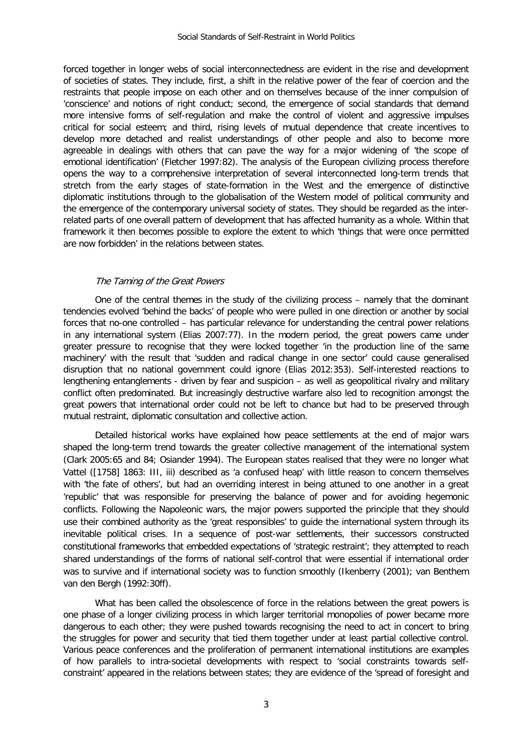forced together in longer webs of social interconnectedness are evident in the rise and development of societies of states. They include, first, a shift in the relative power of the fear of coercion and the restraints that people impose on each other and on themselves because of the inner compulsion of 'conscience' and notions of right conduct; second, the emergence of social standards that demand more intensive forms of self-regulation and make the control of violent and aggressive impulses critical for social esteem; and third, rising levels of mutual dependence that create incentives to develop more detached and realist understandings of other people and also to become more agreeable in dealings with others that can pave the way for a major widening of 'the scope of emotional identification' (Fletcher 1997:82). The analysis of the European civilizing process therefore opens the way to a comprehensive interpretation of several interconnected long-term trends that stretch from the early stages of state-formation in the West and the emergence of distinctive diplomatic institutions through to the globalisation of the Western model of political community and the emergence of the contemporary universal society of states. They should be regarded as the interrelated parts of one overall pattern of development that has affected humanity as a whole. Within that framework it then becomes possible to explore the extent to which 'things that were once permitted are now forbidden' in the relations between states.

#### The Taming of the Great Powers

One of the central themes in the study of the civilizing process – namely that the dominant tendencies evolved 'behind the backs' of people who were pulled in one direction or another by social forces that no-one controlled – has particular relevance for understanding the central power relations in any international system (Elias 2007:77). In the modern period, the great powers came under greater pressure to recognise that they were locked together 'in the production line of the same machinery' with the result that 'sudden and radical change in one sector' could cause generalised disruption that no national government could ignore (Elias 2012:353). Self-interested reactions to lengthening entanglements - driven by fear and suspicion – as well as geopolitical rivalry and military conflict often predominated. But increasingly destructive warfare also led to recognition amongst the great powers that international order could not be left to chance but had to be preserved through mutual restraint, diplomatic consultation and collective action.

Detailed historical works have explained how peace settlements at the end of major wars shaped the long-term trend towards the greater collective management of the international system (Clark 2005:65 and 84; Osiander 1994). The European states realised that they were no longer what Vattel ([1758] 1863: III, iii) described as 'a confused heap' with little reason to concern themselves with 'the fate of others', but had an overriding interest in being attuned to one another in a great 'republic' that was responsible for preserving the balance of power and for avoiding hegemonic conflicts. Following the Napoleonic wars, the major powers supported the principle that they should use their combined authority as the 'great responsibles' to guide the international system through its inevitable political crises. In a sequence of post-war settlements, their successors constructed constitutional frameworks that embedded expectations of 'strategic restraint'; they attempted to reach shared understandings of the forms of national self-control that were essential if international order was to survive and if international society was to function smoothly (Ikenberry (2001); van Benthem van den Bergh (1992:30ff).

What has been called the obsolescence of force in the relations between the great powers is one phase of a longer civilizing process in which larger territorial monopolies of power became more dangerous to each other; they were pushed towards recognising the need to act in concert to bring the struggles for power and security that tied them together under at least partial collective control. Various peace conferences and the proliferation of permanent international institutions are examples of how parallels to intra-societal developments with respect to 'social constraints towards selfconstraint' appeared in the relations between states; they are evidence of the 'spread of foresight and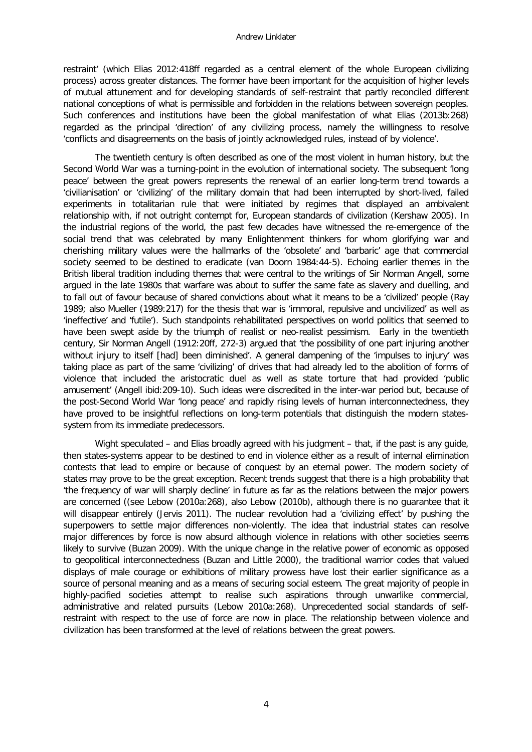restraint' (which Elias 2012:418ff regarded as a central element of the whole European civilizing process) across greater distances. The former have been important for the acquisition of higher levels of mutual attunement and for developing standards of self-restraint that partly reconciled different national conceptions of what is permissible and forbidden in the relations between sovereign peoples. Such conferences and institutions have been the global manifestation of what Elias (2013b:268) regarded as the principal 'direction' of any civilizing process, namely the willingness to resolve 'conflicts and disagreements on the basis of jointly acknowledged rules, instead of by violence'.

The twentieth century is often described as one of the most violent in human history, but the Second World War was a turning-point in the evolution of international society. The subsequent 'long peace' between the great powers represents the renewal of an earlier long-term trend towards a 'civilianisation' or 'civilizing' of the military domain that had been interrupted by short-lived, failed experiments in totalitarian rule that were initiated by regimes that displayed an ambivalent relationship with, if not outright contempt for, European standards of civilization (Kershaw 2005). In the industrial regions of the world, the past few decades have witnessed the re-emergence of the social trend that was celebrated by many Enlightenment thinkers for whom glorifying war and cherishing military values were the hallmarks of the 'obsolete' and 'barbaric' age that commercial society seemed to be destined to eradicate (van Doorn 1984:44-5). Echoing earlier themes in the British liberal tradition including themes that were central to the writings of Sir Norman Angell, some argued in the late 1980s that warfare was about to suffer the same fate as slavery and duelling, and to fall out of favour because of shared convictions about what it means to be a 'civilized' people (Ray 1989; also Mueller (1989:217) for the thesis that war is 'immoral, repulsive and uncivilized' as well as 'ineffective' and 'futile'). Such standpoints rehabilitated perspectives on world politics that seemed to have been swept aside by the triumph of realist or neo-realist pessimism. Early in the twentieth century, Sir Norman Angell (1912:20ff, 272-3) argued that 'the possibility of one part injuring another without injury to itself [had] been diminished'. A general dampening of the 'impulses to injury' was taking place as part of the same 'civilizing' of drives that had already led to the abolition of forms of violence that included the aristocratic duel as well as state torture that had provided 'public amusement' (Angell ibid:209-10). Such ideas were discredited in the inter-war period but, because of the post-Second World War 'long peace' and rapidly rising levels of human interconnectedness, they have proved to be insightful reflections on long-term potentials that distinguish the modern statessystem from its immediate predecessors.

Wight speculated – and Elias broadly agreed with his judgment – that, if the past is any guide, then states-systems appear to be destined to end in violence either as a result of internal elimination contests that lead to empire or because of conquest by an eternal power. The modern society of states may prove to be the great exception. Recent trends suggest that there is a high probability that 'the frequency of war will sharply decline' in future as far as the relations between the major powers are concerned ((see Lebow (2010a:268), also Lebow (2010b), although there is no guarantee that it will disappear entirely (Jervis 2011). The nuclear revolution had a 'civilizing effect' by pushing the superpowers to settle major differences non-violently. The idea that industrial states can resolve major differences by force is now absurd although violence in relations with other societies seems likely to survive (Buzan 2009). With the unique change in the relative power of economic as opposed to geopolitical interconnectedness (Buzan and Little 2000), the traditional warrior codes that valued displays of male courage or exhibitions of military prowess have lost their earlier significance as a source of personal meaning and as a means of securing social esteem. The great majority of people in highly-pacified societies attempt to realise such aspirations through unwarlike commercial, administrative and related pursuits (Lebow 2010a:268). Unprecedented social standards of selfrestraint with respect to the use of force are now in place. The relationship between violence and civilization has been transformed at the level of relations between the great powers.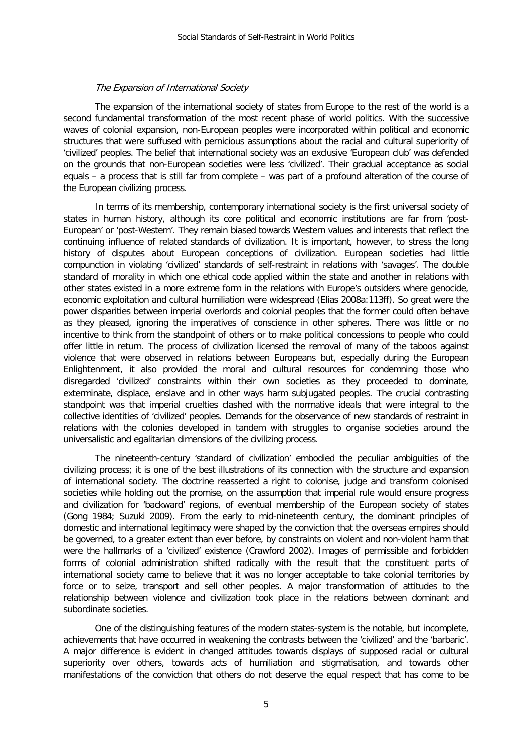#### The Expansion of International Society

The expansion of the international society of states from Europe to the rest of the world is a second fundamental transformation of the most recent phase of world politics. With the successive waves of colonial expansion, non-European peoples were incorporated within political and economic structures that were suffused with pernicious assumptions about the racial and cultural superiority of 'civilized' peoples. The belief that international society was an exclusive 'European club' was defended on the grounds that non-European societies were less 'civilized'. Their gradual acceptance as social equals – a process that is still far from complete – was part of a profound alteration of the course of the European civilizing process.

In terms of its membership, contemporary international society is the first universal society of states in human history, although its core political and economic institutions are far from 'post-European' or 'post-Western'. They remain biased towards Western values and interests that reflect the continuing influence of related standards of civilization. It is important, however, to stress the long history of disputes about European conceptions of civilization. European societies had little compunction in violating 'civilized' standards of self-restraint in relations with 'savages'. The double standard of morality in which one ethical code applied within the state and another in relations with other states existed in a more extreme form in the relations with Europe's outsiders where genocide, economic exploitation and cultural humiliation were widespread (Elias 2008a:113ff). So great were the power disparities between imperial overlords and colonial peoples that the former could often behave as they pleased, ignoring the imperatives of conscience in other spheres. There was little or no incentive to think from the standpoint of others or to make political concessions to people who could offer little in return. The process of civilization licensed the removal of many of the taboos against violence that were observed in relations between Europeans but, especially during the European Enlightenment, it also provided the moral and cultural resources for condemning those who disregarded 'civilized' constraints within their own societies as they proceeded to dominate, exterminate, displace, enslave and in other ways harm subjugated peoples. The crucial contrasting standpoint was that imperial cruelties clashed with the normative ideals that were integral to the collective identities of 'civilized' peoples. Demands for the observance of new standards of restraint in relations with the colonies developed in tandem with struggles to organise societies around the universalistic and egalitarian dimensions of the civilizing process.

The nineteenth-century 'standard of civilization' embodied the peculiar ambiguities of the civilizing process; it is one of the best illustrations of its connection with the structure and expansion of international society. The doctrine reasserted a right to colonise, judge and transform colonised societies while holding out the promise, on the assumption that imperial rule would ensure progress and civilization for 'backward' regions, of eventual membership of the European society of states (Gong 1984; Suzuki 2009). From the early to mid-nineteenth century, the dominant principles of domestic and international legitimacy were shaped by the conviction that the overseas empires should be governed, to a greater extent than ever before, by constraints on violent and non-violent harm that were the hallmarks of a 'civilized' existence (Crawford 2002). Images of permissible and forbidden forms of colonial administration shifted radically with the result that the constituent parts of international society came to believe that it was no longer acceptable to take colonial territories by force or to seize, transport and sell other peoples. A major transformation of attitudes to the relationship between violence and civilization took place in the relations between dominant and subordinate societies.

One of the distinguishing features of the modern states-system is the notable, but incomplete, achievements that have occurred in weakening the contrasts between the 'civilized' and the 'barbaric'. A major difference is evident in changed attitudes towards displays of supposed racial or cultural superiority over others, towards acts of humiliation and stigmatisation, and towards other manifestations of the conviction that others do not deserve the equal respect that has come to be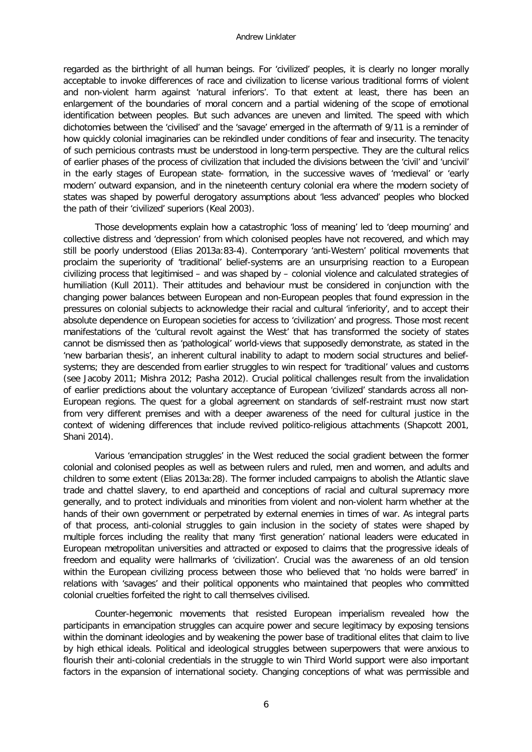regarded as the birthright of all human beings. For 'civilized' peoples, it is clearly no longer morally acceptable to invoke differences of race and civilization to license various traditional forms of violent and non-violent harm against 'natural inferiors'. To that extent at least, there has been an enlargement of the boundaries of moral concern and a partial widening of the scope of emotional identification between peoples. But such advances are uneven and limited. The speed with which dichotomies between the 'civilised' and the 'savage' emerged in the aftermath of 9/11 is a reminder of how quickly colonial imaginaries can be rekindled under conditions of fear and insecurity. The tenacity of such pernicious contrasts must be understood in long-term perspective. They are the cultural relics of earlier phases of the process of civilization that included the divisions between the 'civil' and 'uncivil' in the early stages of European state- formation, in the successive waves of 'medieval' or 'early modern' outward expansion, and in the nineteenth century colonial era where the modern society of states was shaped by powerful derogatory assumptions about 'less advanced' peoples who blocked the path of their 'civilized' superiors (Keal 2003).

Those developments explain how a catastrophic 'loss of meaning' led to 'deep mourning' and collective distress and 'depression' from which colonised peoples have not recovered, and which may still be poorly understood (Elias 2013a:83-4). Contemporary 'anti-Western' political movements that proclaim the superiority of 'traditional' belief-systems are an unsurprising reaction to a European civilizing process that legitimised – and was shaped by – colonial violence and calculated strategies of humiliation (Kull 2011). Their attitudes and behaviour must be considered in conjunction with the changing power balances between European and non-European peoples that found expression in the pressures on colonial subjects to acknowledge their racial and cultural 'inferiority', and to accept their absolute dependence on European societies for access to 'civilization' and progress. Those most recent manifestations of the 'cultural revolt against the West' that has transformed the society of states cannot be dismissed then as 'pathological' world-views that supposedly demonstrate, as stated in the 'new barbarian thesis', an inherent cultural inability to adapt to modern social structures and beliefsystems; they are descended from earlier struggles to win respect for 'traditional' values and customs (see Jacoby 2011; Mishra 2012; Pasha 2012). Crucial political challenges result from the invalidation of earlier predictions about the voluntary acceptance of European 'civilized' standards across all non-European regions. The quest for a global agreement on standards of self-restraint must now start from very different premises and with a deeper awareness of the need for cultural justice in the context of widening differences that include revived politico-religious attachments (Shapcott 2001, Shani 2014).

Various 'emancipation struggles' in the West reduced the social gradient between the former colonial and colonised peoples as well as between rulers and ruled, men and women, and adults and children to some extent (Elias 2013a:28). The former included campaigns to abolish the Atlantic slave trade and chattel slavery, to end apartheid and conceptions of racial and cultural supremacy more generally, and to protect individuals and minorities from violent and non-violent harm whether at the hands of their own government or perpetrated by external enemies in times of war. As integral parts of that process, anti-colonial struggles to gain inclusion in the society of states were shaped by multiple forces including the reality that many 'first generation' national leaders were educated in European metropolitan universities and attracted or exposed to claims that the progressive ideals of freedom and equality were hallmarks of 'civilization'. Crucial was the awareness of an old tension within the European civilizing process between those who believed that 'no holds were barred' in relations with 'savages' and their political opponents who maintained that peoples who committed colonial cruelties forfeited the right to call themselves civilised.

Counter-hegemonic movements that resisted European imperialism revealed how the participants in emancipation struggles can acquire power and secure legitimacy by exposing tensions within the dominant ideologies and by weakening the power base of traditional elites that claim to live by high ethical ideals. Political and ideological struggles between superpowers that were anxious to flourish their anti-colonial credentials in the struggle to win Third World support were also important factors in the expansion of international society. Changing conceptions of what was permissible and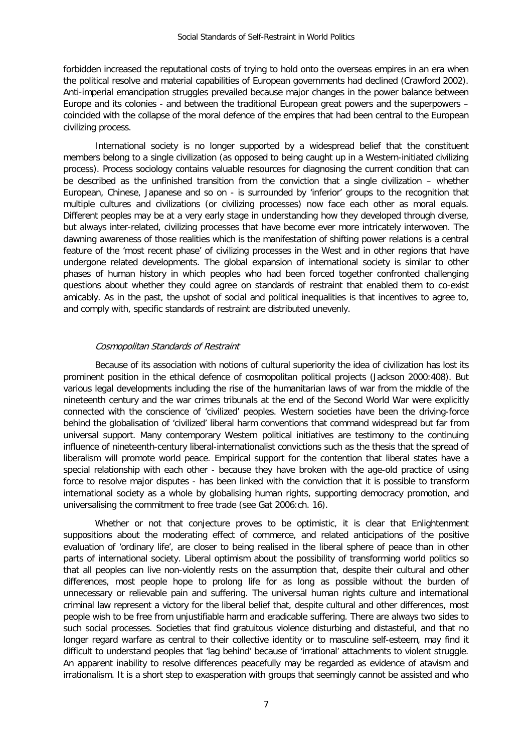forbidden increased the reputational costs of trying to hold onto the overseas empires in an era when the political resolve and material capabilities of European governments had declined (Crawford 2002). Anti-imperial emancipation struggles prevailed because major changes in the power balance between Europe and its colonies - and between the traditional European great powers and the superpowers – coincided with the collapse of the moral defence of the empires that had been central to the European civilizing process.

International society is no longer supported by a widespread belief that the constituent members belong to a single civilization (as opposed to being caught up in a Western-initiated civilizing process). Process sociology contains valuable resources for diagnosing the current condition that can be described as the unfinished transition from the conviction that a single civilization – whether European, Chinese, Japanese and so on - is surrounded by 'inferior' groups to the recognition that multiple cultures and civilizations (or civilizing processes) now face each other as moral equals. Different peoples may be at a very early stage in understanding how they developed through diverse, but always inter-related, civilizing processes that have become ever more intricately interwoven. The dawning awareness of those realities which is the manifestation of shifting power relations is a central feature of the 'most recent phase' of civilizing processes in the West and in other regions that have undergone related developments. The global expansion of international society is similar to other phases of human history in which peoples who had been forced together confronted challenging questions about whether they could agree on standards of restraint that enabled them to co-exist amicably. As in the past, the upshot of social and political inequalities is that incentives to agree to, and comply with, specific standards of restraint are distributed unevenly.

#### Cosmopolitan Standards of Restraint

Because of its association with notions of cultural superiority the idea of civilization has lost its prominent position in the ethical defence of cosmopolitan political projects (Jackson 2000:408). But various legal developments including the rise of the humanitarian laws of war from the middle of the nineteenth century and the war crimes tribunals at the end of the Second World War were explicitly connected with the conscience of 'civilized' peoples. Western societies have been the driving-force behind the globalisation of 'civilized' liberal harm conventions that command widespread but far from universal support. Many contemporary Western political initiatives are testimony to the continuing influence of nineteenth-century liberal-internationalist convictions such as the thesis that the spread of liberalism will promote world peace. Empirical support for the contention that liberal states have a special relationship with each other - because they have broken with the age-old practice of using force to resolve major disputes - has been linked with the conviction that it is possible to transform international society as a whole by globalising human rights, supporting democracy promotion, and universalising the commitment to free trade (see Gat 2006:ch. 16).

Whether or not that conjecture proves to be optimistic, it is clear that Enlightenment suppositions about the moderating effect of commerce, and related anticipations of the positive evaluation of 'ordinary life', are closer to being realised in the liberal sphere of peace than in other parts of international society. Liberal optimism about the possibility of transforming world politics so that all peoples can live non-violently rests on the assumption that, despite their cultural and other differences, most people hope to prolong life for as long as possible without the burden of unnecessary or relievable pain and suffering. The universal human rights culture and international criminal law represent a victory for the liberal belief that, despite cultural and other differences, most people wish to be free from unjustifiable harm and eradicable suffering. There are always two sides to such social processes. Societies that find gratuitous violence disturbing and distasteful, and that no longer regard warfare as central to their collective identity or to masculine self-esteem, may find it difficult to understand peoples that 'lag behind' because of 'irrational' attachments to violent struggle. An apparent inability to resolve differences peacefully may be regarded as evidence of atavism and irrationalism. It is a short step to exasperation with groups that seemingly cannot be assisted and who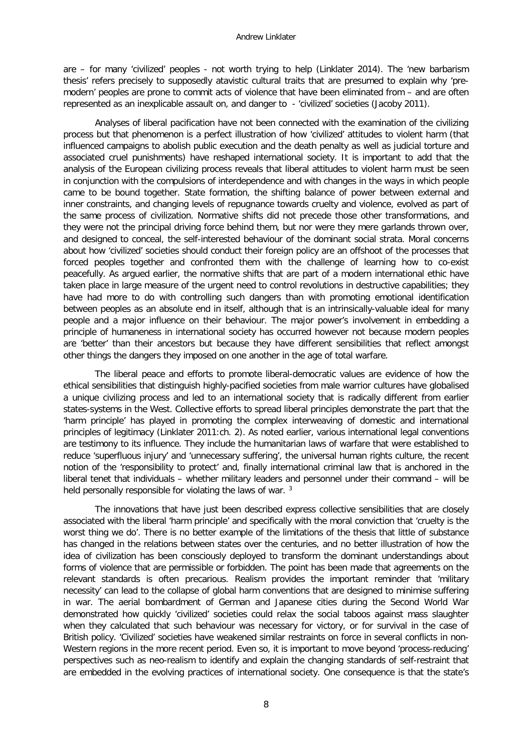are – for many 'civilized' peoples - not worth trying to help (Linklater 2014). The 'new barbarism thesis' refers precisely to supposedly atavistic cultural traits that are presumed to explain why 'premodern' peoples are prone to commit acts of violence that have been eliminated from – and are often represented as an inexplicable assault on, and danger to - 'civilized' societies (Jacoby 2011).

Analyses of liberal pacification have not been connected with the examination of the civilizing process but that phenomenon is a perfect illustration of how 'civilized' attitudes to violent harm (that influenced campaigns to abolish public execution and the death penalty as well as judicial torture and associated cruel punishments) have reshaped international society. It is important to add that the analysis of the European civilizing process reveals that liberal attitudes to violent harm must be seen in conjunction with the compulsions of interdependence and with changes in the ways in which people came to be bound together. State formation, the shifting balance of power between external and inner constraints, and changing levels of repugnance towards cruelty and violence, evolved as part of the same process of civilization. Normative shifts did not precede those other transformations, and they were not the principal driving force behind them, but nor were they mere garlands thrown over, and designed to conceal, the self-interested behaviour of the dominant social strata. Moral concerns about how 'civilized' societies should conduct their foreign policy are an offshoot of the processes that forced peoples together and confronted them with the challenge of learning how to co-exist peacefully. As argued earlier, the normative shifts that are part of a modern international ethic have taken place in large measure of the urgent need to control revolutions in destructive capabilities; they have had more to do with controlling such dangers than with promoting emotional identification between peoples as an absolute end in itself, although that is an intrinsically-valuable ideal for many people and a major influence on their behaviour. The major power's involvement in embedding a principle of humaneness in international society has occurred however not because modern peoples are 'better' than their ancestors but because they have different sensibilities that reflect amongst other things the dangers they imposed on one another in the age of total warfare.

The liberal peace and efforts to promote liberal-democratic values are evidence of how the ethical sensibilities that distinguish highly-pacified societies from male warrior cultures have globalised a unique civilizing process and led to an international society that is radically different from earlier states-systems in the West. Collective efforts to spread liberal principles demonstrate the part that the 'harm principle' has played in promoting the complex interweaving of domestic and international principles of legitimacy (Linklater 2011:ch. 2). As noted earlier, various international legal conventions are testimony to its influence. They include the humanitarian laws of warfare that were established to reduce 'superfluous injury' and 'unnecessary suffering', the universal human rights culture, the recent notion of the 'responsibility to protect' and, finally international criminal law that is anchored in the liberal tenet that individuals – whether military leaders and personnel under their command – will be held personally responsible for violating the laws of war.<sup>[3](#page-15-2)</sup>

The innovations that have just been described express collective sensibilities that are closely associated with the liberal 'harm principle' and specifically with the moral conviction that 'cruelty is the worst thing we do'. There is no better example of the limitations of the thesis that little of substance has changed in the relations between states over the centuries, and no better illustration of how the idea of civilization has been consciously deployed to transform the dominant understandings about forms of violence that are permissible or forbidden. The point has been made that agreements on the relevant standards is often precarious. Realism provides the important reminder that 'military necessity' can lead to the collapse of global harm conventions that are designed to minimise suffering in war. The aerial bombardment of German and Japanese cities during the Second World War demonstrated how quickly 'civilized' societies could relax the social taboos against mass slaughter when they calculated that such behaviour was necessary for victory, or for survival in the case of British policy. 'Civilized' societies have weakened similar restraints on force in several conflicts in non-Western regions in the more recent period. Even so, it is important to move beyond 'process-reducing' perspectives such as neo-realism to identify and explain the changing standards of self-restraint that are embedded in the evolving practices of international society. One consequence is that the state's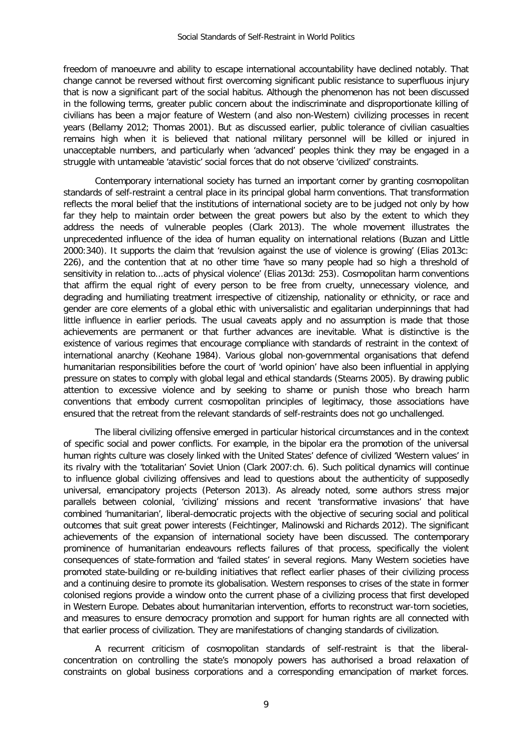freedom of manoeuvre and ability to escape international accountability have declined notably. That change cannot be reversed without first overcoming significant public resistance to superfluous injury that is now a significant part of the social habitus. Although the phenomenon has not been discussed in the following terms, greater public concern about the indiscriminate and disproportionate killing of civilians has been a major feature of Western (and also non-Western) civilizing processes in recent years (Bellamy 2012; Thomas 2001). But as discussed earlier, public tolerance of civilian casualties remains high when it is believed that national military personnel will be killed or injured in unacceptable numbers, and particularly when 'advanced' peoples think they may be engaged in a struggle with untameable 'atavistic' social forces that do not observe 'civilized' constraints.

Contemporary international society has turned an important corner by granting cosmopolitan standards of self-restraint a central place in its principal global harm conventions. That transformation reflects the moral belief that the institutions of international society are to be judged not only by how far they help to maintain order between the great powers but also by the extent to which they address the needs of vulnerable peoples (Clark 2013). The whole movement illustrates the unprecedented influence of the idea of human equality on international relations (Buzan and Little 2000:340). It supports the claim that 'revulsion against the use of violence is growing' (Elias 2013c: 226), and the contention that at no other time 'have so many people had so high a threshold of sensitivity in relation to...acts of physical violence' (Elias 2013d: 253). Cosmopolitan harm conventions that affirm the equal right of every person to be free from cruelty, unnecessary violence, and degrading and humiliating treatment irrespective of citizenship, nationality or ethnicity, or race and gender are core elements of a global ethic with universalistic and egalitarian underpinnings that had little influence in earlier periods. The usual caveats apply and no assumption is made that those achievements are permanent or that further advances are inevitable. What is distinctive is the existence of various regimes that encourage compliance with standards of restraint in the context of international anarchy (Keohane 1984). Various global non-governmental organisations that defend humanitarian responsibilities before the court of 'world opinion' have also been influential in applying pressure on states to comply with global legal and ethical standards (Stearns 2005). By drawing public attention to excessive violence and by seeking to shame or punish those who breach harm conventions that embody current cosmopolitan principles of legitimacy, those associations have ensured that the retreat from the relevant standards of self-restraints does not go unchallenged.

The liberal civilizing offensive emerged in particular historical circumstances and in the context of specific social and power conflicts. For example, in the bipolar era the promotion of the universal human rights culture was closely linked with the United States' defence of civilized 'Western values' in its rivalry with the 'totalitarian' Soviet Union (Clark 2007:ch. 6). Such political dynamics will continue to influence global civilizing offensives and lead to questions about the authenticity of supposedly universal, emancipatory projects (Peterson 2013). As already noted, some authors stress major parallels between colonial, 'civilizing' missions and recent 'transformative invasions' that have combined 'humanitarian', liberal-democratic projects with the objective of securing social and political outcomes that suit great power interests (Feichtinger, Malinowski and Richards 2012). The significant achievements of the expansion of international society have been discussed. The contemporary prominence of humanitarian endeavours reflects failures of that process, specifically the violent consequences of state-formation and 'failed states' in several regions. Many Western societies have promoted state-building or re-building initiatives that reflect earlier phases of their civilizing process and a continuing desire to promote its globalisation. Western responses to crises of the state in former colonised regions provide a window onto the current phase of a civilizing process that first developed in Western Europe. Debates about humanitarian intervention, efforts to reconstruct war-torn societies, and measures to ensure democracy promotion and support for human rights are all connected with that earlier process of civilization. They are manifestations of changing standards of civilization.

A recurrent criticism of cosmopolitan standards of self-restraint is that the liberalconcentration on controlling the state's monopoly powers has authorised a broad relaxation of constraints on global business corporations and a corresponding emancipation of market forces.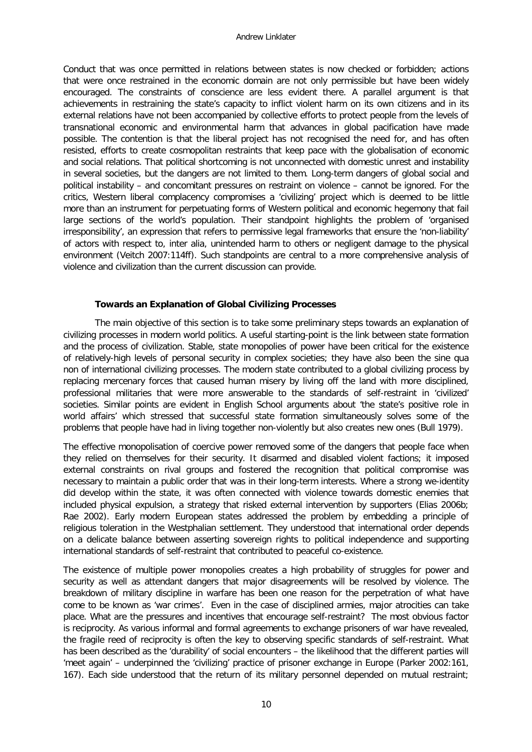Conduct that was once permitted in relations between states is now checked or forbidden; actions that were once restrained in the economic domain are not only permissible but have been widely encouraged. The constraints of conscience are less evident there. A parallel argument is that achievements in restraining the state's capacity to inflict violent harm on its own citizens and in its external relations have not been accompanied by collective efforts to protect people from the levels of transnational economic and environmental harm that advances in global pacification have made possible. The contention is that the liberal project has not recognised the need for, and has often resisted, efforts to create cosmopolitan restraints that keep pace with the globalisation of economic and social relations. That political shortcoming is not unconnected with domestic unrest and instability in several societies, but the dangers are not limited to them. Long-term dangers of global social and political instability – and concomitant pressures on restraint on violence – cannot be ignored. For the critics, Western liberal complacency compromises a 'civilizing' project which is deemed to be little more than an instrument for perpetuating forms of Western political and economic hegemony that fail large sections of the world's population. Their standpoint highlights the problem of 'organised irresponsibility', an expression that refers to permissive legal frameworks that ensure the 'non-liability' of actors with respect to, inter alia, unintended harm to others or negligent damage to the physical environment (Veitch 2007:114ff). Such standpoints are central to a more comprehensive analysis of violence and civilization than the current discussion can provide.

### **Towards an Explanation of Global Civilizing Processes**

The main objective of this section is to take some preliminary steps towards an explanation of civilizing processes in modern world politics. A useful starting-point is the link between state formation and the process of civilization. Stable, state monopolies of power have been critical for the existence of relatively-high levels of personal security in complex societies; they have also been the sine qua non of international civilizing processes. The modern state contributed to a global civilizing process by replacing mercenary forces that caused human misery by living off the land with more disciplined, professional militaries that were more answerable to the standards of self-restraint in 'civilized' societies. Similar points are evident in English School arguments about 'the state's positive role in world affairs' which stressed that successful state formation simultaneously solves some of the problems that people have had in living together non-violently but also creates new ones (Bull 1979).

The effective monopolisation of coercive power removed some of the dangers that people face when they relied on themselves for their security. It disarmed and disabled violent factions; it imposed external constraints on rival groups and fostered the recognition that political compromise was necessary to maintain a public order that was in their long-term interests. Where a strong we-identity did develop within the state, it was often connected with violence towards domestic enemies that included physical expulsion, a strategy that risked external intervention by supporters (Elias 2006b; Rae 2002). Early modern European states addressed the problem by embedding a principle of religious toleration in the Westphalian settlement. They understood that international order depends on a delicate balance between asserting sovereign rights to political independence and supporting international standards of self-restraint that contributed to peaceful co-existence.

The existence of multiple power monopolies creates a high probability of struggles for power and security as well as attendant dangers that major disagreements will be resolved by violence. The breakdown of military discipline in warfare has been one reason for the perpetration of what have come to be known as 'war crimes'. Even in the case of disciplined armies, major atrocities can take place. What are the pressures and incentives that encourage self-restraint? The most obvious factor is reciprocity. As various informal and formal agreements to exchange prisoners of war have revealed, the fragile reed of reciprocity is often the key to observing specific standards of self-restraint. What has been described as the 'durability' of social encounters – the likelihood that the different parties will 'meet again' – underpinned the 'civilizing' practice of prisoner exchange in Europe (Parker 2002:161, 167). Each side understood that the return of its military personnel depended on mutual restraint;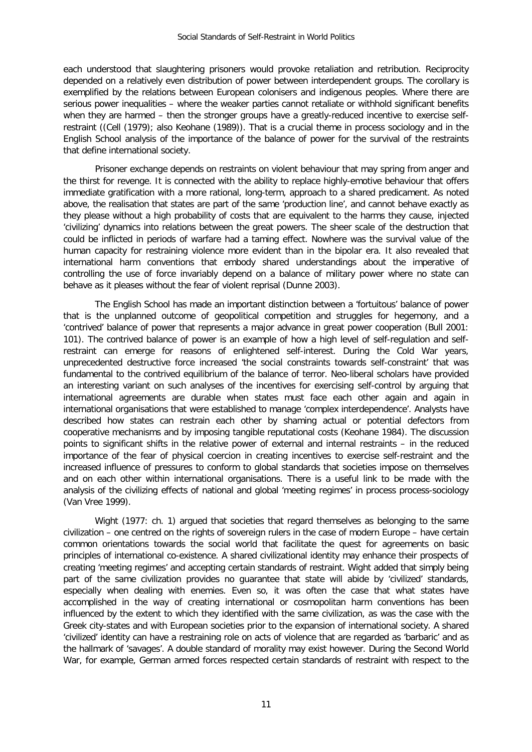each understood that slaughtering prisoners would provoke retaliation and retribution. Reciprocity depended on a relatively even distribution of power between interdependent groups. The corollary is exemplified by the relations between European colonisers and indigenous peoples. Where there are serious power inequalities – where the weaker parties cannot retaliate or withhold significant benefits when they are harmed – then the stronger groups have a greatly-reduced incentive to exercise selfrestraint ((Cell (1979); also Keohane (1989)). That is a crucial theme in process sociology and in the English School analysis of the importance of the balance of power for the survival of the restraints that define international society.

Prisoner exchange depends on restraints on violent behaviour that may spring from anger and the thirst for revenge. It is connected with the ability to replace highly-emotive behaviour that offers immediate gratification with a more rational, long-term, approach to a shared predicament. As noted above, the realisation that states are part of the same 'production line', and cannot behave exactly as they please without a high probability of costs that are equivalent to the harms they cause, injected 'civilizing' dynamics into relations between the great powers. The sheer scale of the destruction that could be inflicted in periods of warfare had a taming effect. Nowhere was the survival value of the human capacity for restraining violence more evident than in the bipolar era. It also revealed that international harm conventions that embody shared understandings about the imperative of controlling the use of force invariably depend on a balance of military power where no state can behave as it pleases without the fear of violent reprisal (Dunne 2003).

The English School has made an important distinction between a 'fortuitous' balance of power that is the unplanned outcome of geopolitical competition and struggles for hegemony, and a 'contrived' balance of power that represents a major advance in great power cooperation (Bull 2001: 101). The contrived balance of power is an example of how a high level of self-regulation and selfrestraint can emerge for reasons of enlightened self-interest. During the Cold War years, unprecedented destructive force increased 'the social constraints towards self-constraint' that was fundamental to the contrived equilibrium of the balance of terror. Neo-liberal scholars have provided an interesting variant on such analyses of the incentives for exercising self-control by arguing that international agreements are durable when states must face each other again and again in international organisations that were established to manage 'complex interdependence'. Analysts have described how states can restrain each other by shaming actual or potential defectors from cooperative mechanisms and by imposing tangible reputational costs (Keohane 1984). The discussion points to significant shifts in the relative power of external and internal restraints – in the reduced importance of the fear of physical coercion in creating incentives to exercise self-restraint and the increased influence of pressures to conform to global standards that societies impose on themselves and on each other within international organisations. There is a useful link to be made with the analysis of the civilizing effects of national and global 'meeting regimes' in process process-sociology (Van Vree 1999).

Wight (1977: ch. 1) argued that societies that regard themselves as belonging to the same civilization – one centred on the rights of sovereign rulers in the case of modern Europe – have certain common orientations towards the social world that facilitate the quest for agreements on basic principles of international co-existence. A shared civilizational identity may enhance their prospects of creating 'meeting regimes' and accepting certain standards of restraint. Wight added that simply being part of the same civilization provides no guarantee that state will abide by 'civilized' standards, especially when dealing with enemies. Even so, it was often the case that what states have accomplished in the way of creating international or cosmopolitan harm conventions has been influenced by the extent to which they identified with the same civilization, as was the case with the Greek city-states and with European societies prior to the expansion of international society. A shared 'civilized' identity can have a restraining role on acts of violence that are regarded as 'barbaric' and as the hallmark of 'savages'. A double standard of morality may exist however. During the Second World War, for example, German armed forces respected certain standards of restraint with respect to the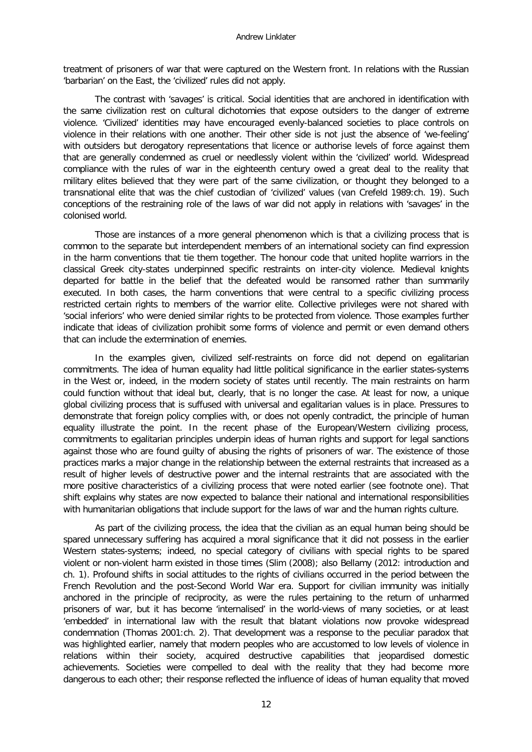treatment of prisoners of war that were captured on the Western front. In relations with the Russian 'barbarian' on the East, the 'civilized' rules did not apply.

The contrast with 'savages' is critical. Social identities that are anchored in identification with the same civilization rest on cultural dichotomies that expose outsiders to the danger of extreme violence. 'Civilized' identities may have encouraged evenly-balanced societies to place controls on violence in their relations with one another. Their other side is not just the absence of 'we-feeling' with outsiders but derogatory representations that licence or authorise levels of force against them that are generally condemned as cruel or needlessly violent within the 'civilized' world. Widespread compliance with the rules of war in the eighteenth century owed a great deal to the reality that military elites believed that they were part of the same civilization, or thought they belonged to a transnational elite that was the chief custodian of 'civilized' values (van Crefeld 1989:ch. 19). Such conceptions of the restraining role of the laws of war did not apply in relations with 'savages' in the colonised world.

Those are instances of a more general phenomenon which is that a civilizing process that is common to the separate but interdependent members of an international society can find expression in the harm conventions that tie them together. The honour code that united hoplite warriors in the classical Greek city-states underpinned specific restraints on inter-city violence. Medieval knights departed for battle in the belief that the defeated would be ransomed rather than summarily executed. In both cases, the harm conventions that were central to a specific civilizing process restricted certain rights to members of the warrior elite. Collective privileges were not shared with 'social inferiors' who were denied similar rights to be protected from violence. Those examples further indicate that ideas of civilization prohibit some forms of violence and permit or even demand others that can include the extermination of enemies.

In the examples given, civilized self-restraints on force did not depend on egalitarian commitments. The idea of human equality had little political significance in the earlier states-systems in the West or, indeed, in the modern society of states until recently. The main restraints on harm could function without that ideal but, clearly, that is no longer the case. At least for now, a unique global civilizing process that is suffused with universal and egalitarian values is in place. Pressures to demonstrate that foreign policy complies with, or does not openly contradict, the principle of human equality illustrate the point. In the recent phase of the European/Western civilizing process, commitments to egalitarian principles underpin ideas of human rights and support for legal sanctions against those who are found guilty of abusing the rights of prisoners of war. The existence of those practices marks a major change in the relationship between the external restraints that increased as a result of higher levels of destructive power and the internal restraints that are associated with the more positive characteristics of a civilizing process that were noted earlier (see footnote one). That shift explains why states are now expected to balance their national and international responsibilities with humanitarian obligations that include support for the laws of war and the human rights culture.

As part of the civilizing process, the idea that the civilian as an equal human being should be spared unnecessary suffering has acquired a moral significance that it did not possess in the earlier Western states-systems; indeed, no special category of civilians with special rights to be spared violent or non-violent harm existed in those times (Slim (2008); also Bellamy (2012: introduction and ch. 1). Profound shifts in social attitudes to the rights of civilians occurred in the period between the French Revolution and the post-Second World War era. Support for civilian immunity was initially anchored in the principle of reciprocity, as were the rules pertaining to the return of unharmed prisoners of war, but it has become 'internalised' in the world-views of many societies, or at least 'embedded' in international law with the result that blatant violations now provoke widespread condemnation (Thomas 2001:ch. 2). That development was a response to the peculiar paradox that was highlighted earlier, namely that modern peoples who are accustomed to low levels of violence in relations within their society, acquired destructive capabilities that jeopardised domestic achievements. Societies were compelled to deal with the reality that they had become more dangerous to each other; their response reflected the influence of ideas of human equality that moved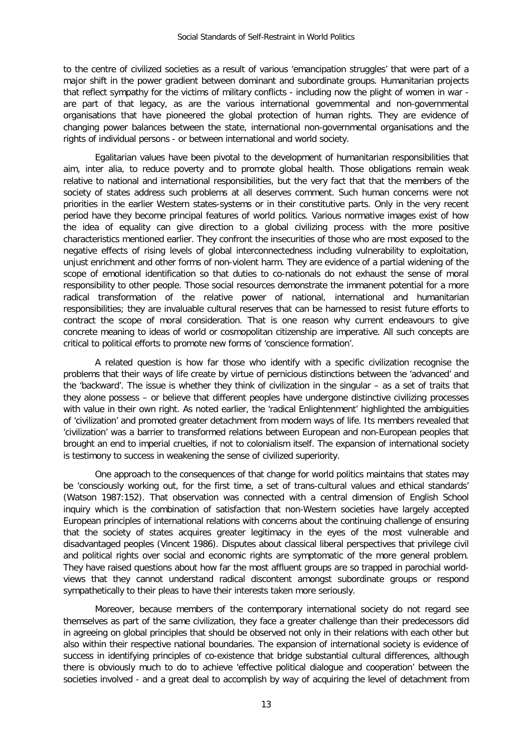to the centre of civilized societies as a result of various 'emancipation struggles' that were part of a major shift in the power gradient between dominant and subordinate groups. Humanitarian projects that reflect sympathy for the victims of military conflicts - including now the plight of women in war are part of that legacy, as are the various international governmental and non-governmental organisations that have pioneered the global protection of human rights. They are evidence of changing power balances between the state, international non-governmental organisations and the rights of individual persons - or between international and world society.

Egalitarian values have been pivotal to the development of humanitarian responsibilities that aim, inter alia, to reduce poverty and to promote global health. Those obligations remain weak relative to national and international responsibilities, but the very fact that that the members of the society of states address such problems at all deserves comment. Such human concerns were not priorities in the earlier Western states-systems or in their constitutive parts. Only in the very recent period have they become principal features of world politics. Various normative images exist of how the idea of equality can give direction to a global civilizing process with the more positive characteristics mentioned earlier. They confront the insecurities of those who are most exposed to the negative effects of rising levels of global interconnectedness including vulnerability to exploitation, unjust enrichment and other forms of non-violent harm. They are evidence of a partial widening of the scope of emotional identification so that duties to co-nationals do not exhaust the sense of moral responsibility to other people. Those social resources demonstrate the immanent potential for a more radical transformation of the relative power of national, international and humanitarian responsibilities; they are invaluable cultural reserves that can be harnessed to resist future efforts to contract the scope of moral consideration. That is one reason why current endeavours to give concrete meaning to ideas of world or cosmopolitan citizenship are imperative. All such concepts are critical to political efforts to promote new forms of 'conscience formation'.

A related question is how far those who identify with a specific civilization recognise the problems that their ways of life create by virtue of pernicious distinctions between the 'advanced' and the 'backward'. The issue is whether they think of civilization in the singular – as a set of traits that they alone possess – or believe that different peoples have undergone distinctive civilizing processes with value in their own right. As noted earlier, the 'radical Enlightenment' highlighted the ambiguities of 'civilization' and promoted greater detachment from modern ways of life. Its members revealed that 'civilization' was a barrier to transformed relations between European and non-European peoples that brought an end to imperial cruelties, if not to colonialism itself. The expansion of international society is testimony to success in weakening the sense of civilized superiority.

One approach to the consequences of that change for world politics maintains that states may be 'consciously working out, for the first time, a set of trans-cultural values and ethical standards' (Watson 1987:152). That observation was connected with a central dimension of English School inquiry which is the combination of satisfaction that non-Western societies have largely accepted European principles of international relations with concerns about the continuing challenge of ensuring that the society of states acquires greater legitimacy in the eyes of the most vulnerable and disadvantaged peoples (Vincent 1986). Disputes about classical liberal perspectives that privilege civil and political rights over social and economic rights are symptomatic of the more general problem. They have raised questions about how far the most affluent groups are so trapped in parochial worldviews that they cannot understand radical discontent amongst subordinate groups or respond sympathetically to their pleas to have their interests taken more seriously.

Moreover, because members of the contemporary international society do not regard see themselves as part of the same civilization, they face a greater challenge than their predecessors did in agreeing on global principles that should be observed not only in their relations with each other but also within their respective national boundaries. The expansion of international society is evidence of success in identifying principles of co-existence that bridge substantial cultural differences, although there is obviously much to do to achieve 'effective political dialogue and cooperation' between the societies involved - and a great deal to accomplish by way of acquiring the level of detachment from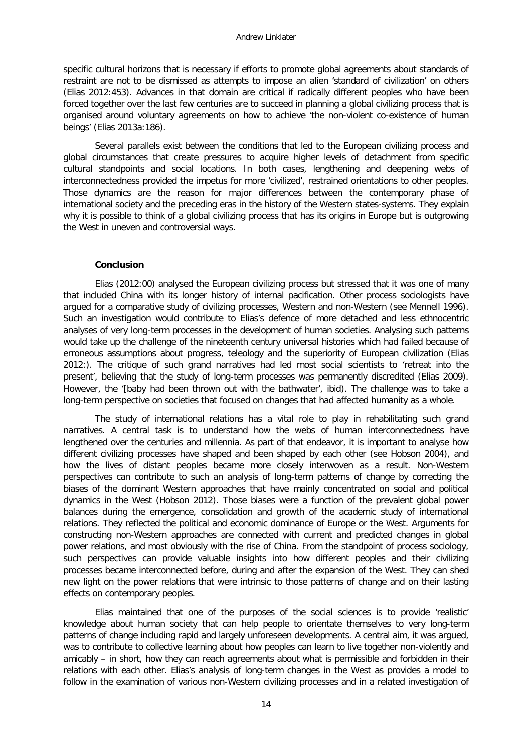specific cultural horizons that is necessary if efforts to promote global agreements about standards of restraint are not to be dismissed as attempts to impose an alien 'standard of civilization' on others (Elias 2012:453). Advances in that domain are critical if radically different peoples who have been forced together over the last few centuries are to succeed in planning a global civilizing process that is organised around voluntary agreements on how to achieve 'the non-violent co-existence of human beings' (Elias 2013a:186).

Several parallels exist between the conditions that led to the European civilizing process and global circumstances that create pressures to acquire higher levels of detachment from specific cultural standpoints and social locations. In both cases, lengthening and deepening webs of interconnectedness provided the impetus for more 'civilized', restrained orientations to other peoples. Those dynamics are the reason for major differences between the contemporary phase of international society and the preceding eras in the history of the Western states-systems. They explain why it is possible to think of a global civilizing process that has its origins in Europe but is outgrowing the West in uneven and controversial ways.

#### **Conclusion**

Elias (2012:00) analysed the European civilizing process but stressed that it was one of many that included China with its longer history of internal pacification. Other process sociologists have argued for a comparative study of civilizing processes, Western and non-Western (see Mennell 1996). Such an investigation would contribute to Elias's defence of more detached and less ethnocentric analyses of very long-term processes in the development of human societies. Analysing such patterns would take up the challenge of the nineteenth century universal histories which had failed because of erroneous assumptions about progress, teleology and the superiority of European civilization (Elias 2012:). The critique of such grand narratives had led most social scientists to 'retreat into the present', believing that the study of long-term processes was permanently discredited (Elias 2009). However, the '[baby had been thrown out with the bathwater', ibid). The challenge was to take a long-term perspective on societies that focused on changes that had affected humanity as a whole.

The study of international relations has a vital role to play in rehabilitating such grand narratives. A central task is to understand how the webs of human interconnectedness have lengthened over the centuries and millennia. As part of that endeavor, it is important to analyse how different civilizing processes have shaped and been shaped by each other (see Hobson 2004), and how the lives of distant peoples became more closely interwoven as a result. Non-Western perspectives can contribute to such an analysis of long-term patterns of change by correcting the biases of the dominant Western approaches that have mainly concentrated on social and political dynamics in the West (Hobson 2012). Those biases were a function of the prevalent global power balances during the emergence, consolidation and growth of the academic study of international relations. They reflected the political and economic dominance of Europe or the West. Arguments for constructing non-Western approaches are connected with current and predicted changes in global power relations, and most obviously with the rise of China. From the standpoint of process sociology, such perspectives can provide valuable insights into how different peoples and their civilizing processes became interconnected before, during and after the expansion of the West. They can shed new light on the power relations that were intrinsic to those patterns of change and on their lasting effects on contemporary peoples.

Elias maintained that one of the purposes of the social sciences is to provide 'realistic' knowledge about human society that can help people to orientate themselves to very long-term patterns of change including rapid and largely unforeseen developments. A central aim, it was argued, was to contribute to collective learning about how peoples can learn to live together non-violently and amicably – in short, how they can reach agreements about what is permissible and forbidden in their relations with each other. Elias's analysis of long-term changes in the West as provides a model to follow in the examination of various non-Western civilizing processes and in a related investigation of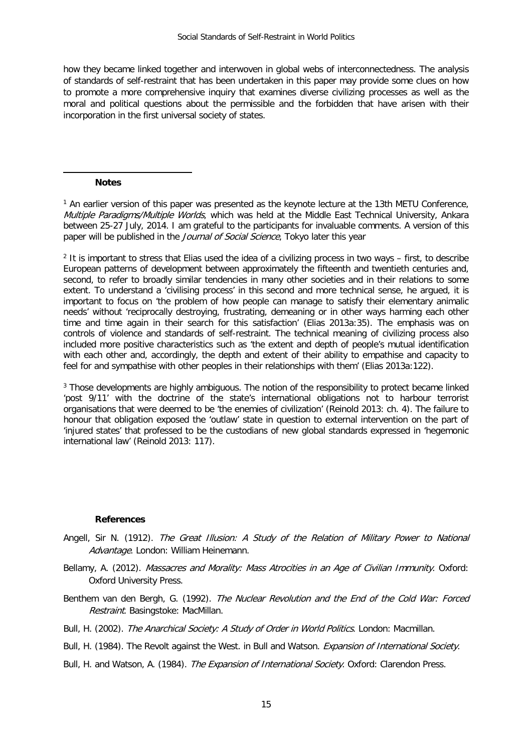how they became linked together and interwoven in global webs of interconnectedness. The analysis of standards of self-restraint that has been undertaken in this paper may provide some clues on how to promote a more comprehensive inquiry that examines diverse civilizing processes as well as the moral and political questions about the permissible and the forbidden that have arisen with their incorporation in the first universal society of states.

#### **Notes**

-

<sup>1</sup> An earlier version of this paper was presented as the keynote lecture at the 13th METU Conference, Multiple Paradigms/Multiple Worlds, which was held at the Middle East Technical University, Ankara between 25-27 July, 2014. I am grateful to the participants for invaluable comments. A version of this paper will be published in the Journal of Social Science, Tokyo later this year

<sup>2</sup> It is important to stress that Elias used the idea of a civilizing process in two ways – first, to describe European patterns of development between approximately the fifteenth and twentieth centuries and, second, to refer to broadly similar tendencies in many other societies and in their relations to some extent. To understand a 'civilising process' in this second and more technical sense, he argued, it is important to focus on 'the problem of how people can manage to satisfy their elementary animalic needs' without 'reciprocally destroying, frustrating, demeaning or in other ways harming each other time and time again in their search for this satisfaction' (Elias 2013a:35). The emphasis was on controls of violence and standards of self-restraint. The technical meaning of civilizing process also included more positive characteristics such as 'the extent and depth of people's mutual identification with each other and, accordingly, the depth and extent of their ability to empathise and capacity to feel for and sympathise with other peoples in their relationships with them' (Elias 2013a:122).

<sup>3</sup> Those developments are highly ambiguous. The notion of the responsibility to protect became linked 'post 9/11' with the doctrine of the state's international obligations not to harbour terrorist organisations that were deemed to be 'the enemies of civilization' (Reinold 2013: ch. 4). The failure to honour that obligation exposed the 'outlaw' state in question to external intervention on the part of 'injured states' that professed to be the custodians of new global standards expressed in 'hegemonic international law' (Reinold 2013: 117).

#### **References**

- Angell, Sir N. (1912). The Great Illusion: A Study of the Relation of Military Power to National Advantage. London: William Heinemann.
- Bellamy, A. (2012). Massacres and Morality: Mass Atrocities in an Age of Civilian Immunity. Oxford: Oxford University Press.
- Benthem van den Bergh, G. (1992). The Nuclear Revolution and the End of the Cold War: Forced Restraint. Basingstoke: MacMillan.
- Bull, H. (2002). The Anarchical Society: A Study of Order in World Politics. London: Macmillan.
- Bull, H. (1984). The Revolt against the West. in Bull and Watson. *Expansion of International Society*.
- Bull, H. and Watson, A. (1984). The Expansion of International Society. Oxford: Clarendon Press.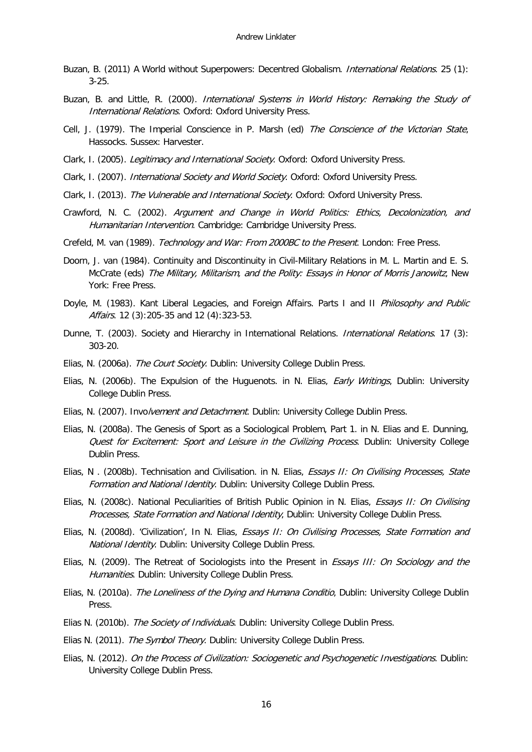- Buzan, B. (2011) A World without Superpowers: Decentred Globalism. International Relations. 25 (1): 3-25.
- Buzan, B. and Little, R. (2000). International Systems in World History: Remaking the Study of International Relations. Oxford: Oxford University Press.
- Cell, J. (1979). The Imperial Conscience in P. Marsh (ed) The Conscience of the Victorian State, Hassocks. Sussex: Harvester.
- Clark, I. (2005). Legitimacy and International Society. Oxford: Oxford University Press.
- <span id="page-15-0"></span>Clark, I. (2007). International Society and World Society. Oxford: Oxford University Press.
- Clark, I. (2013). The Vulnerable and International Society. Oxford: Oxford University Press.
- Crawford, N. C. (2002). Argument and Change in World Politics: Ethics, Decolonization, and Humanitarian Intervention. Cambridge: Cambridge University Press.
- Crefeld, M. van (1989). Technology and War: From 2000BC to the Present. London: Free Press.
- <span id="page-15-1"></span>Doorn, J. van (1984). Continuity and Discontinuity in Civil-Military Relations in M. L. Martin and E. S. McCrate (eds) The Military, Militarism, and the Polity: Essays in Honor of Morris Janowitz, New York: Free Press.
- Doyle, M. (1983). Kant Liberal Legacies, and Foreign Affairs. Parts I and II Philosophy and Public Affairs. 12 (3):205-35 and 12 (4):323-53.
- Dunne, T. (2003). Society and Hierarchy in International Relations. *International Relations*. 17 (3): 303-20.
- Elias, N. (2006a). The Court Society. Dublin: University College Dublin Press.
- <span id="page-15-2"></span>Elias, N. (2006b). The Expulsion of the Huguenots. in N. Elias, *Early Writings*, Dublin: University College Dublin Press.
- Elias, N. (2007). Involvement and Detachment. Dublin: University College Dublin Press.
- Elias, N. (2008a). The Genesis of Sport as a Sociological Problem, Part 1. in N. Elias and E. Dunning, Quest for Excitement: Sport and Leisure in the Civilizing Process. Dublin: University College Dublin Press.
- Elias, N. (2008b). Technisation and Civilisation. in N. Elias, Essays II: On Civilising Processes, State Formation and National Identity. Dublin: University College Dublin Press.
- Elias, N. (2008c). National Peculiarities of British Public Opinion in N. Elias, Essays II: On Civilising Processes, State Formation and National Identity, Dublin: University College Dublin Press.
- Elias, N. (2008d). 'Civilization', In N. Elias, *Essays II: On Civilising Processes, State Formation and* National Identity. Dublin: University College Dublin Press.
- Elias, N. (2009). The Retreat of Sociologists into the Present in *Essays III: On Sociology and the* Humanities. Dublin: University College Dublin Press.
- Elias, N. (2010a). The Loneliness of the Dying and Humana Conditio, Dublin: University College Dublin Press.
- Elias N. (2010b). The Society of Individuals. Dublin: University College Dublin Press.
- Elias N. (2011). The Symbol Theory. Dublin: University College Dublin Press.
- Elias, N. (2012). On the Process of Civilization: Sociogenetic and Psychogenetic Investigations. Dublin: University College Dublin Press.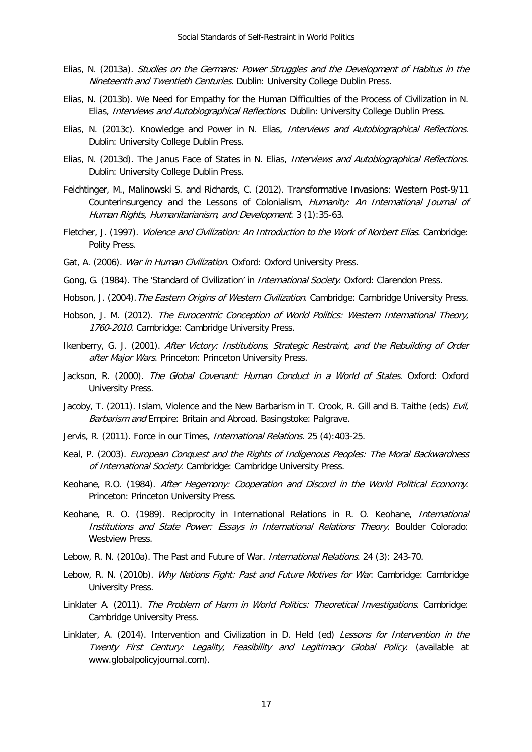- Elias, N. (2013a). Studies on the Germans: Power Struggles and the Development of Habitus in the Nineteenth and Twentieth Centuries. Dublin: University College Dublin Press.
- Elias, N. (2013b). We Need for Empathy for the Human Difficulties of the Process of Civilization in N. Elias, Interviews and Autobiographical Reflections. Dublin: University College Dublin Press.
- Elias, N. (2013c). Knowledge and Power in N. Elias, Interviews and Autobiographical Reflections. Dublin: University College Dublin Press.
- Elias, N. (2013d). The Janus Face of States in N. Elias, Interviews and Autobiographical Reflections. Dublin: University College Dublin Press.
- Feichtinger, M., Malinowski S. and Richards, C. (2012). Transformative Invasions: Western Post-9/11 Counterinsurgency and the Lessons of Colonialism, Humanity: An International Journal of Human Rights, Humanitarianism, and Development. 3 (1):35-63.
- Fletcher, J. (1997). Violence and Civilization: An Introduction to the Work of Norbert Elias. Cambridge: Polity Press.
- Gat, A. (2006). War in Human Civilization. Oxford: Oxford University Press.
- Gong, G. (1984). The 'Standard of Civilization' in *International Society*. Oxford: Clarendon Press.
- Hobson, J. (2004). The Eastern Origins of Western Civilization. Cambridge: Cambridge University Press.
- Hobson, J. M. (2012). The Eurocentric Conception of World Politics: Western International Theory, 1760-2010. Cambridge: Cambridge University Press.
- Ikenberry, G. J. (2001). After Victory: Institutions, Strategic Restraint, and the Rebuilding of Order after Major Wars. Princeton: Princeton University Press.
- Jackson, R. (2000). The Global Covenant: Human Conduct in a World of States. Oxford: Oxford University Press.
- Jacoby, T. (2011). Islam, Violence and the New Barbarism in T. Crook, R. Gill and B. Taithe (eds) *Evil*, Barbarism and Empire: Britain and Abroad. Basingstoke: Palgrave.
- Jervis, R. (2011). Force in our Times, *International Relations*, 25 (4):403-25.
- Keal, P. (2003). European Conquest and the Rights of Indigenous Peoples: The Moral Backwardness of International Society. Cambridge: Cambridge University Press.
- Keohane, R.O. (1984). After Hegemony: Cooperation and Discord in the World Political Economy. Princeton: Princeton University Press.
- Keohane, R. O. (1989). Reciprocity in International Relations in R. O. Keohane, *International* Institutions and State Power: Essays in International Relations Theory. Boulder Colorado: Westview Press.
- Lebow, R. N. (2010a). The Past and Future of War. International Relations. 24 (3): 243-70.
- Lebow, R. N. (2010b). Why Nations Fight: Past and Future Motives for War. Cambridge: Cambridge University Press.
- Linklater A. (2011). The Problem of Harm in World Politics: Theoretical Investigations. Cambridge: Cambridge University Press.
- Linklater, A. (2014). Intervention and Civilization in D. Held (ed) Lessons for Intervention in the Twenty First Century: Legality, Feasibility and Legitimacy Global Policy. (available at www.globalpolicyjournal.com).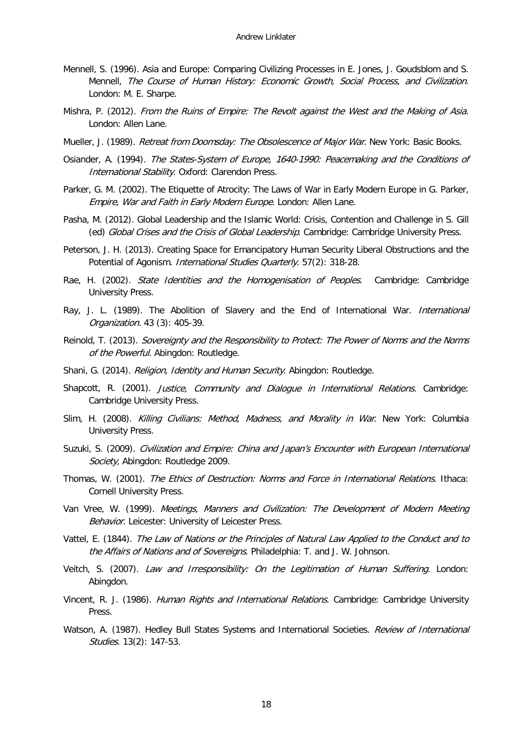- Mennell, S. (1996). Asia and Europe: Comparing Civilizing Processes in E. Jones, J. Goudsblom and S. Mennell, The Course of Human History: Economic Growth, Social Process, and Civilization. London: M. E. Sharpe.
- Mishra, P. (2012). From the Ruins of Empire: The Revolt against the West and the Making of Asia. London: Allen Lane.
- Mueller, J. (1989). Retreat from Doomsday: The Obsolescence of Major War. New York: Basic Books.
- Osiander, A. (1994). The States-System of Europe, 1640-1990: Peacemaking and the Conditions of International Stability. Oxford: Clarendon Press.
- Parker, G. M. (2002). The Etiquette of Atrocity: The Laws of War in Early Modern Europe in G. Parker, Empire, War and Faith in Early Modern Europe. London: Allen Lane.
- Pasha, M. (2012). Global Leadership and the Islamic World: Crisis, Contention and Challenge in S. Gill (ed) Global Crises and the Crisis of Global Leadership. Cambridge: Cambridge University Press.
- Peterson, J. H. (2013). Creating Space for Emancipatory Human Security Liberal Obstructions and the Potential of Agonism. International Studies Quarterly. 57(2): 318-28.
- Rae, H. (2002). State Identities and the Homogenisation of Peoples. Cambridge: Cambridge University Press.
- Ray, J. L. (1989). The Abolition of Slavery and the End of International War. International Organization. 43 (3): 405-39.
- Reinold, T. (2013). Sovereignty and the Responsibility to Protect: The Power of Norms and the Norms of the Powerful. Abingdon: Routledge.
- Shani, G. (2014). Religion, Identity and Human Security. Abingdon: Routledge.
- Shapcott, R. (2001). Justice, Community and Dialogue in International Relations. Cambridge: Cambridge University Press.
- Slim, H. (2008). Killing Civilians: Method, Madness, and Morality in War. New York: Columbia University Press.
- Suzuki, S. (2009). Civilization and Empire: China and Japan's Encounter with European International Society, Abingdon: Routledge 2009.
- Thomas, W. (2001). The Ethics of Destruction: Norms and Force in International Relations. Ithaca: Cornell University Press.
- Van Vree, W. (1999). Meetings, Manners and Civilization: The Development of Modern Meeting Behavior. Leicester: University of Leicester Press.
- Vattel, E. (1844). The Law of Nations or the Principles of Natural Law Applied to the Conduct and to the Affairs of Nations and of Sovereigns. Philadelphia: T. and J. W. Johnson.
- Veitch, S. (2007). Law and Irresponsibility: On the Legitimation of Human Suffering. London: Abingdon.
- Vincent, R. J. (1986). Human Rights and International Relations. Cambridge: Cambridge University **Press**
- Watson, A. (1987). Hedley Bull States Systems and International Societies. Review of International Studies. 13(2): 147-53.